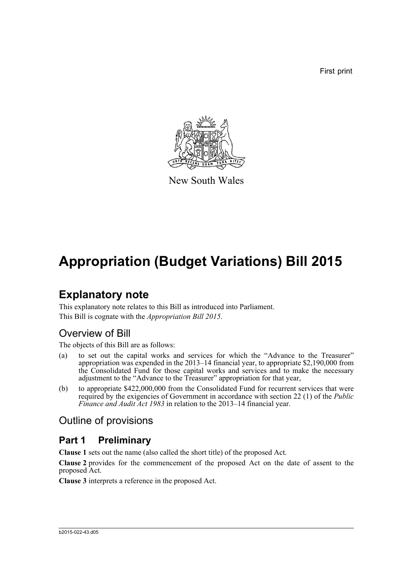First print



New South Wales

# **Appropriation (Budget Variations) Bill 2015**

# **Explanatory note**

This explanatory note relates to this Bill as introduced into Parliament. This Bill is cognate with the *Appropriation Bill 2015*.

## Overview of Bill

The objects of this Bill are as follows:

- (a) to set out the capital works and services for which the "Advance to the Treasurer" appropriation was expended in the 2013–14 financial year, to appropriate \$2,190,000 from the Consolidated Fund for those capital works and services and to make the necessary adjustment to the "Advance to the Treasurer" appropriation for that year,
- (b) to appropriate \$422,000,000 from the Consolidated Fund for recurrent services that were required by the exigencies of Government in accordance with section 22 (1) of the *Public Finance and Audit Act 1983* in relation to the 2013–14 financial year.

## Outline of provisions

### **Part 1 Preliminary**

**Clause 1** sets out the name (also called the short title) of the proposed Act.

**Clause 2** provides for the commencement of the proposed Act on the date of assent to the proposed Act.

**Clause 3** interprets a reference in the proposed Act.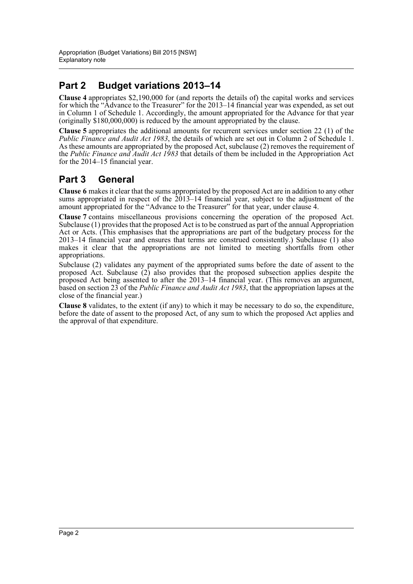# **Part 2 Budget variations 2013–14**

**Clause 4** appropriates \$2,190,000 for (and reports the details of) the capital works and services for which the "Advance to the Treasurer" for the 2013–14 financial year was expended, as set out in Column 1 of Schedule 1. Accordingly, the amount appropriated for the Advance for that year (originally \$180,000,000) is reduced by the amount appropriated by the clause.

**Clause 5** appropriates the additional amounts for recurrent services under section 22 (1) of the *Public Finance and Audit Act 1983*, the details of which are set out in Column 2 of Schedule 1. As these amounts are appropriated by the proposed Act, subclause (2) removes the requirement of the *Public Finance and Audit Act 1983* that details of them be included in the Appropriation Act for the 2014–15 financial year.

## **Part 3 General**

**Clause 6** makes it clear that the sums appropriated by the proposed Act are in addition to any other sums appropriated in respect of the 2013–14 financial year, subject to the adjustment of the amount appropriated for the "Advance to the Treasurer" for that year, under clause 4.

**Clause 7** contains miscellaneous provisions concerning the operation of the proposed Act. Subclause (1) provides that the proposed Act is to be construed as part of the annual Appropriation Act or Acts. (This emphasises that the appropriations are part of the budgetary process for the 2013–14 financial year and ensures that terms are construed consistently.) Subclause (1) also makes it clear that the appropriations are not limited to meeting shortfalls from other appropriations.

Subclause (2) validates any payment of the appropriated sums before the date of assent to the proposed Act. Subclause (2) also provides that the proposed subsection applies despite the proposed Act being assented to after the 2013–14 financial year. (This removes an argument, based on section 23 of the *Public Finance and Audit Act 1983*, that the appropriation lapses at the close of the financial year.)

**Clause 8** validates, to the extent (if any) to which it may be necessary to do so, the expenditure, before the date of assent to the proposed Act, of any sum to which the proposed Act applies and the approval of that expenditure.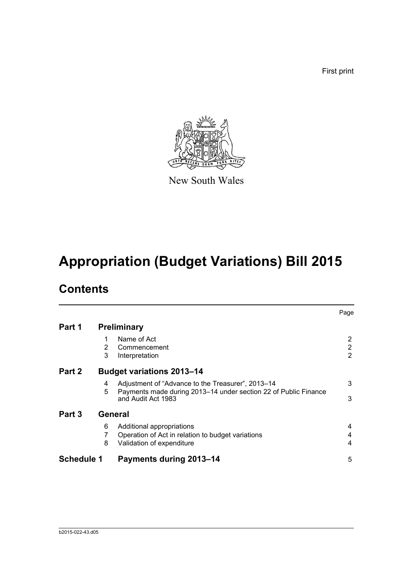First print



New South Wales

# **Appropriation (Budget Variations) Bill 2015**

# **Contents**

|                          |                                  |                                                                                                                                            | Page                                  |  |
|--------------------------|----------------------------------|--------------------------------------------------------------------------------------------------------------------------------------------|---------------------------------------|--|
| Part 1                   | <b>Preliminary</b>               |                                                                                                                                            |                                       |  |
|                          | 2<br>3                           | Name of Act<br>Commencement<br>Interpretation                                                                                              | 2<br>$\overline{2}$<br>$\overline{2}$ |  |
| Part 2                   | <b>Budget variations 2013-14</b> |                                                                                                                                            |                                       |  |
|                          | 4<br>5                           | Adjustment of "Advance to the Treasurer", 2013-14<br>Payments made during 2013-14 under section 22 of Public Finance<br>and Audit Act 1983 | 3<br>3                                |  |
| Part 3<br><b>General</b> |                                  |                                                                                                                                            |                                       |  |
|                          | 6<br>8                           | Additional appropriations<br>Operation of Act in relation to budget variations<br>Validation of expenditure                                | 4<br>4<br>4                           |  |
| <b>Schedule 1</b>        |                                  | <b>Payments during 2013-14</b>                                                                                                             | 5                                     |  |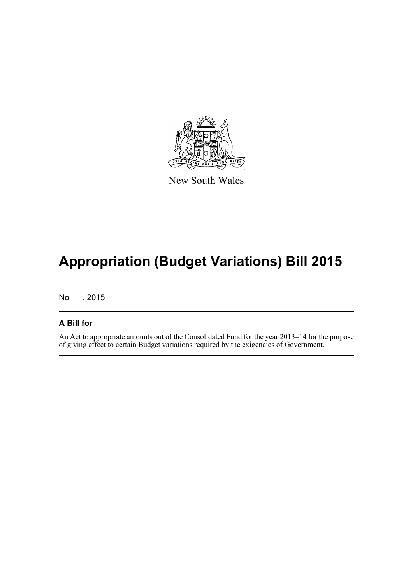

New South Wales

# **Appropriation (Budget Variations) Bill 2015**

No , 2015

### **A Bill for**

An Act to appropriate amounts out of the Consolidated Fund for the year 2013–14 for the purpose of giving effect to certain Budget variations required by the exigencies of Government.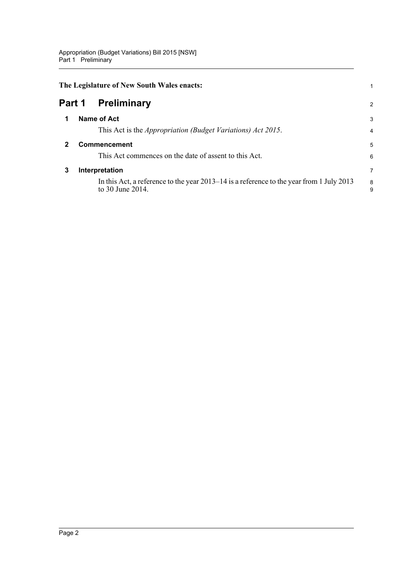<span id="page-4-3"></span><span id="page-4-2"></span><span id="page-4-1"></span><span id="page-4-0"></span>

|        | The Legislature of New South Wales enacts: |                                                                                                                |        |  |
|--------|--------------------------------------------|----------------------------------------------------------------------------------------------------------------|--------|--|
| Part 1 |                                            | <b>Preliminary</b>                                                                                             | 2      |  |
| 1      |                                            | Name of Act                                                                                                    | 3      |  |
|        |                                            | This Act is the <i>Appropriation (Budget Variations) Act 2015</i> .                                            | 4      |  |
| 2      |                                            | Commencement                                                                                                   | 5      |  |
|        |                                            | This Act commences on the date of assent to this Act.                                                          | 6      |  |
| 3      |                                            | Interpretation                                                                                                 | 7      |  |
|        |                                            | In this Act, a reference to the year $2013-14$ is a reference to the year from 1 July 2013<br>to 30 June 2014. | 8<br>9 |  |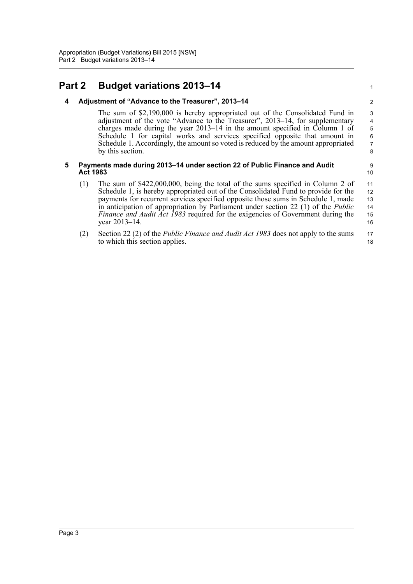### <span id="page-5-1"></span><span id="page-5-0"></span>**Part 2 Budget variations 2013–14**

#### **4 Adjustment of "Advance to the Treasurer", 2013–14**

The sum of \$2,190,000 is hereby appropriated out of the Consolidated Fund in adjustment of the vote "Advance to the Treasurer", 2013–14, for supplementary charges made during the year 2013–14 in the amount specified in Column 1 of Schedule 1 for capital works and services specified opposite that amount in Schedule 1. Accordingly, the amount so voted is reduced by the amount appropriated by this section.

#### <span id="page-5-2"></span>**5 Payments made during 2013–14 under section 22 of Public Finance and Audit Act 1983**

- (1) The sum of \$422,000,000, being the total of the sums specified in Column 2 of Schedule 1, is hereby appropriated out of the Consolidated Fund to provide for the payments for recurrent services specified opposite those sums in Schedule 1, made in anticipation of appropriation by Parliament under section 22 (1) of the *Public Finance and Audit Act 1983* required for the exigencies of Government during the year 2013–14. 11 12 13 14 15 16
- (2) Section 22 (2) of the *Public Finance and Audit Act 1983* does not apply to the sums to which this section applies. 17 18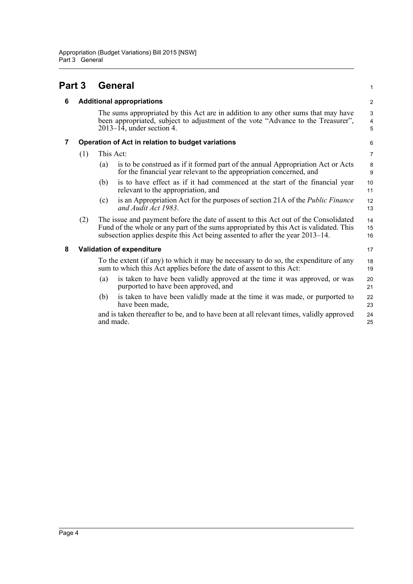<span id="page-6-3"></span><span id="page-6-2"></span><span id="page-6-1"></span><span id="page-6-0"></span>

| Part 3 |                                  | <b>General</b>                                                                                                                                                                                        |                                                                                                                                                                                                                                                               | $\mathbf{1}$   |  |
|--------|----------------------------------|-------------------------------------------------------------------------------------------------------------------------------------------------------------------------------------------------------|---------------------------------------------------------------------------------------------------------------------------------------------------------------------------------------------------------------------------------------------------------------|----------------|--|
| 6      | <b>Additional appropriations</b> |                                                                                                                                                                                                       |                                                                                                                                                                                                                                                               | 2              |  |
|        |                                  | The sums appropriated by this Act are in addition to any other sums that may have<br>been appropriated, subject to adjustment of the vote "Advance to the Treasurer",<br>$2013-14$ , under section 4. |                                                                                                                                                                                                                                                               |                |  |
| 7      |                                  | Operation of Act in relation to budget variations                                                                                                                                                     |                                                                                                                                                                                                                                                               |                |  |
|        | This Act:<br>(1)                 |                                                                                                                                                                                                       |                                                                                                                                                                                                                                                               | $\overline{7}$ |  |
|        |                                  | (a)                                                                                                                                                                                                   | is to be construed as if it formed part of the annual Appropriation Act or Acts<br>for the financial year relevant to the appropriation concerned, and                                                                                                        | $\bf 8$<br>9   |  |
|        |                                  | (b)                                                                                                                                                                                                   | is to have effect as if it had commenced at the start of the financial year<br>relevant to the appropriation, and                                                                                                                                             | 10<br>11       |  |
|        |                                  | (c)                                                                                                                                                                                                   | is an Appropriation Act for the purposes of section 21A of the <i>Public Finance</i><br>and Audit Act 1983.                                                                                                                                                   | 12<br>13       |  |
|        | (2)                              |                                                                                                                                                                                                       | The issue and payment before the date of assent to this Act out of the Consolidated<br>Fund of the whole or any part of the sums appropriated by this Act is validated. This<br>subsection applies despite this Act being assented to after the year 2013–14. | 14<br>15<br>16 |  |
| 8      |                                  | <b>Validation of expenditure</b>                                                                                                                                                                      |                                                                                                                                                                                                                                                               |                |  |
|        |                                  | To the extent (if any) to which it may be necessary to do so, the expenditure of any<br>sum to which this Act applies before the date of assent to this Act:                                          |                                                                                                                                                                                                                                                               | 18<br>19       |  |
|        |                                  | (a)                                                                                                                                                                                                   | is taken to have been validly approved at the time it was approved, or was<br>purported to have been approved, and                                                                                                                                            | 20<br>21       |  |
|        |                                  | (b)                                                                                                                                                                                                   | is taken to have been validly made at the time it was made, or purported to<br>have been made,                                                                                                                                                                | 22<br>23       |  |
|        |                                  |                                                                                                                                                                                                       | and is taken thereafter to be, and to have been at all relevant times, validly approved<br>and made.                                                                                                                                                          | 24<br>25       |  |